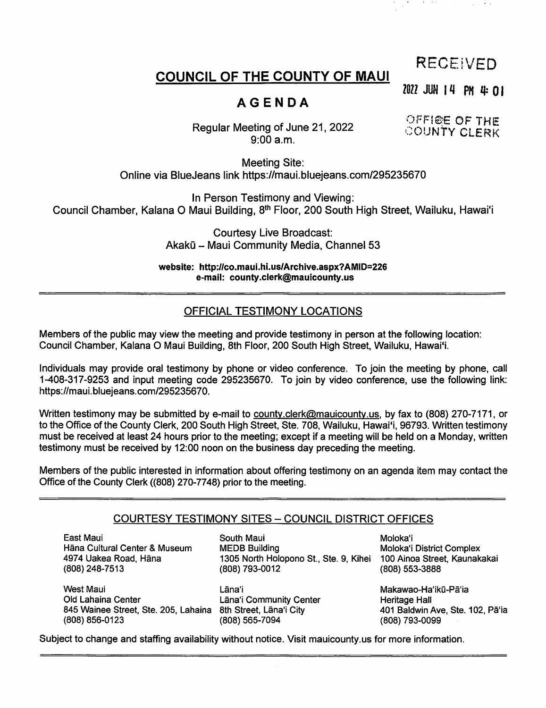# RECEIVED

# COUNCIL OF THE COUNTY OF MAUI

2022 JUN 14 PM 4:01

# AGENDA

OFFICE OF THE

Regular Meeting of June 21, 2022 9:00 a.m.

Meeting Site: Online via BlueJeans link https://maui.bluejeans.com/295235670

In Person Testimony and Viewing: Council Chamber, Kalana O Maui Building, 8<sup>th</sup> Floor, 200 South High Street, Wailuku, Hawai'i

> Courtesy Live Broadcast: Akakū - Maui Community Media, Channel 53

website: http://co.maui.hi.us/Archive.aspx?AMID=226 e-mail: county.clerk@mauicounty.us

# OFFICIAL TESTIMONY LOCATIONS

Members of the public may view the meeting and provide testimony in person at the following location: Council Chamber, Kalana O Maui Building, 8th Floor, 200 South High Street, Wailuku, Hawaii.

Individuals may provide oral testimony by phone or video conference. To join the meeting by phone, call 1-408-317-9253 and Input meeting code 295235670. To join by video conference, use the following link: https://maui.bluejeans.com/295235670.

Written testimony may be submitted by e-mail to county.clerk@mauicounty.us, by fax to (808) 270-7171, or to the Office of the County Clerk, 200 South High Street, Ste. 708, Wailuku, Hawai'i, 96793. Written testimony must be received at least 24 hours prior to the meeting; except if a meeting will be held on a Monday, written testimony must be received by 12:00 noon on the business day preceding the meeting.

Members of the public interested in information about offering testimony on an agenda item may contact the Office of the County Clerk ((808) 270-7748) prior to the meeting.

## COURTESY TESTIMONY SITES - COUNCIL DISTRICT OFFICES

East Maui Hana Cultural Center & Museum 4974 Uakea Road, Hana (808) 248-7513

South Maui **Moloka'i** 1305 North Holopono St., Ste. 9, Kihei MEDB Building (808) 793-0012

West Maui Old Lahaina Center 845 Wainee Street, Ste. 205, Lahaina 8th Street, Lâna'i City (808) 856-0123

(808) 565-7094 Lana'i Makawao-Ha'iku-Pa'i a Lana'i Community Center

Moloka'i District Complex<br>100 Ainoa Street, Kaunakakai (808) 553-3888

Heritage Hall 401 Baldwin Ave, Ste. 102, Pa'ia (808) 793-0099

Subject to change and staffing availability without notice. Visit maulcounty.us for more information.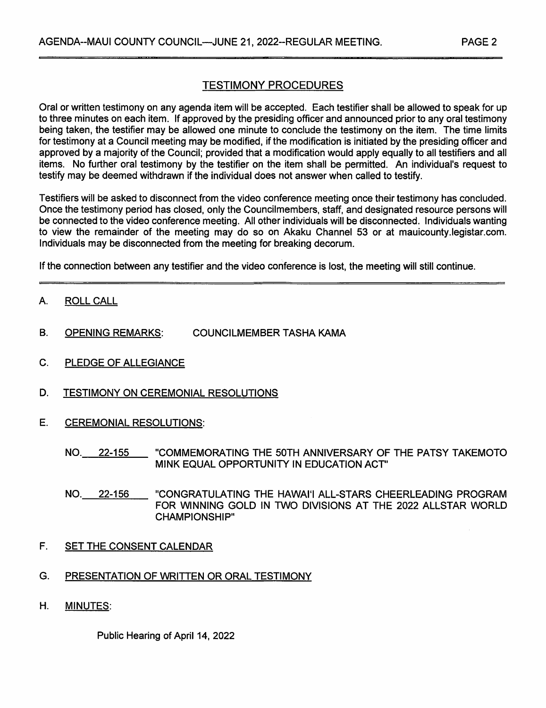# TESTIMONY PROCEDURES

Oral or written testimony on any agenda item will be accepted. Each testifier shall be allowed to speak for up to three minutes on each item. If approved by the presiding officer and announced prior to any oral testimony being taken, the testifier may be allowed one minute to conclude the testimony on the item. The time limits for testimony at a Council meeting may be modified, if the modification is initiated by the presiding officer and approved by a majority of the Council; provided that a modification would apply equally to all testifiers and ail items. No further oral testimony by the testifier on the item shall be permitted. An individual's request to testify may be deemed withdrawn if the individual does not answer when called to testify.

Testifiers will be asked to disconnect from the video conference meeting once their testimony has concluded. Once the testimony period has closed, only the Councilmembers, staff, and designated resource persons will be connected to the video conference meeting. All other individuals will be disconnected. Individuals wanting to view the remainder of the meeting may do so on Akaku Channel 53 or at mauicounty.legistar.com. Individuals may be disconnected from the meeting for breaking decorum.

If the connection between any testifier and the video conference is lost, the meeting will still continue.

- A. ROLL CALL
- B. OPENING REMARKS: COUNCILMEMBER TASHA KAMA
- C. PLEDGE OF ALLEGIANCE
- D. TESTIMONY ON CEREMONIAL RESOLUTIONS
- E. CEREMONIAL RESOLUTIONS:
	- NO. 22-155 "COMMEMORATING THE 50TH ANNIVERSARY OF THE PATSY TAKEMOTO MINK EQUAL OPPORTUNITY IN EDUCATION ACT"
	- NO. 22-156 "CONGRATULATING THE HAWAII ALL-STARS CHEERLEADING PROGRAM FOR WINNING GOLD IN TWO DIVISIONS AT THE 2022 ALLSTAR WORLD CHAMPIONSHIP"
- F. SET THE CONSENT CALENDAR
- G. PRESENTATION OF WRITTEN OR ORAL TESTIMONY
- H. MINUTES:

Public Hearing of April 14, 2022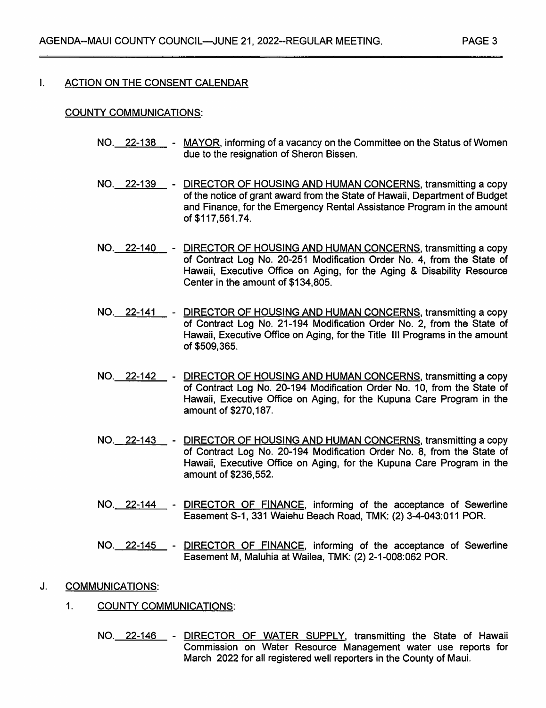#### $\mathbf{I}$ . ACTION ON THE CONSENT CALENDAR

#### COUNTY COMMUNICATIONS:

- NO.\_\_22-138\_\_\_- MAYOR, informing of a vacancy on the Committee on the Status of Women due to the resignation of Sheron Bissen.
- NO. 22-139 DIRECTOR OF HOUSING AND HUMAN CONCERNS, transmitting a copy of the notice of grant award from the State of Hawaii, Department of Budget and Finance, for the Emergency Rental Assistance Program in the amount of \$117,561.74.
- NO. 22-140 DIRECTOR OF HOUSING AND HUMAN CONCERNS, transmitting a copy of Contract Log No. 20-251 Modification Order No. 4, from the State of Hawaii, Executive Office on Aging, for the Aging & Disability Resource Center in the amount of \$134,805.
- NO. 22-141 DIRECTOR OF HOUSING AND HUMAN CONCERNS, transmitting a copy of Contract Log No. 21-194 Modification Order No. 2, from the State of Hawaii, Executive Office on Aging, for the Title III Programs in the amount of \$509,365,
- NO. 22-142 DIRECTOR OF HOUSING AND HUMAN CONCERNS, transmitting a copy of Contract Log No. 20-194 Modification Order No. 10, from the State of Hawaii, Executive Office on Aging, for the Kupuna Care Program in the amount of \$270,187.
- NO.\_\_22-143\_\_\_ -\_ <u>DIRECTOR OF HOUSING AND HUMAN CONCERNS</u>, transmitting a copy of Contract Log No. 20-194 Modification Order No. 8, from the State of Hawaii, Executive Office on Aging, for the Kupuna Care Program in the amount of \$236,552.
- NO. 22-144 DIRECTOR OF FINANCE, informing of the acceptance of Sewerline Easement S-1, 331 Waiehu Beach Road, TMK: (2) 3-4-043:011 POR.
- NO. 22-145 DIRECTOR OF FINANCE, informing of the acceptance of Sewerline Easement M, Maluhia at Wailea, TMK; (2) 2-1-008:062 POR.
- J. COMMUNICATIONS:
	- 1. COUNTY COMMUNICATIONS:
		- NO. 22-146 DIRECTOR OF WATER SUPPLY, transmitting the State of Hawaii Commission on Water Resource Management water use reports for March 2022 for all registered well reporters in the County of Maui.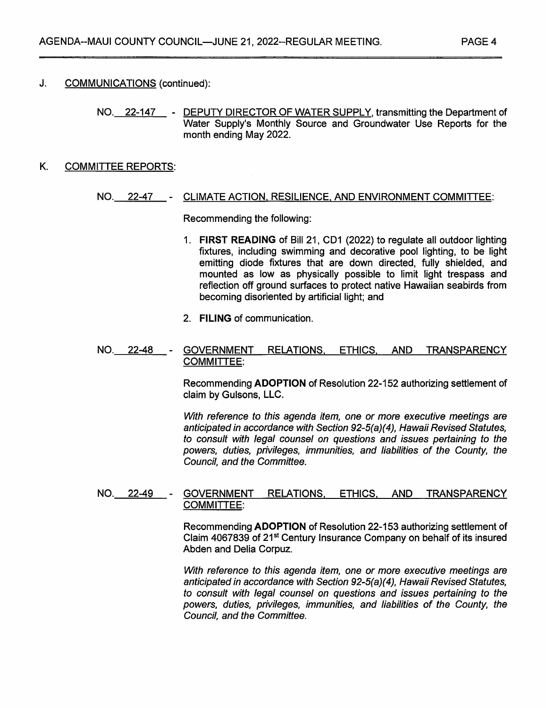NO. 22-147 - DEPUTY DIRECTOR OF WATER SUPPLY, transmitting the Department of Water Supply's Monthly Source and Groundwater Use Reports for the month ending May 2022.

### K. COMMITTEE REPORTS:

#### NO. 22-47 CLIMATE ACTION. RESILIENCE. AND ENVIRONMENT COMMITTEE:

Recommending the following:

- 1. FIRST READING of Bill 21, CD1 (2022) to regulate all outdoor lighting fixtures, including swimming and decorative pool lighting, to be light emitting diode fixtures that are down directed, fully shielded, and mounted as low as physically possible to limit light trespass and reflection off ground surfaces to protect native Hawaiian seabirds from becoming disoriented by artificial light; and
- 2. FILING of communication.

#### NO. 22-48 GOVERNMENT RELATIONS. ETHICS. AND TRANSPARENCY COMMITTEE:

Recommending ADOPTION of Resolution 22-152 authorizing settlement of claim by Gulsons, LLC.

With reference to this agenda item, one or more executive meetings are anticipated in accordance with Section 92-5(a)(4), Hawaii Revised Statutes, to consult with legal counsel on questions and issues pertaining to the powers, duties, privileges, immunities, and liabilities of the County, the Council, and the Committee.

#### NO. 22-49 - GOVERNMENT RELATIONS, ETHICS, AND TRANSPARENCY COMMITTEE:

Recommending ADOPTION of Resolution 22-153 authorizing settlement of Claim 4067839 of 21<sup>st</sup> Century Insurance Company on behalf of its insured Abden and Delia Corpuz.

With reference to this agenda item, one or more executive meetings are anticipated in accordance with Section 92-5(a)(4), Hawaii Revised Statutes, to consult with legal counsel on questions and Issues pertaining to the powers, duties, privileges, immunities, and liabilities of the County, the Council, and the Committee.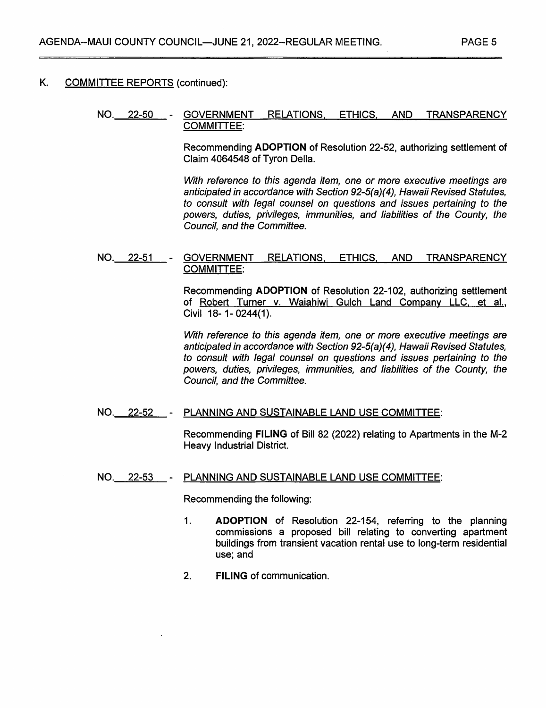## K. COMMITTEE REPORTS (continued);

#### NO. 22-50 GOVERNMENT RELATIONS. ETHICS. AND TRANSPARENCY COMMITTEE:

Recommending ADOPTION of Resolution 22-52, authorizing settlement of Claim 4064548 of Tyron Della.

With reference to this agenda item, one or more executive meetings are anticipated in accordance with Section 92-5(a)(4), Hawaii Revised Statutes, to consult with legal counsel on questions and issues pertaining to the powers, duties, privileges, immunities, and liabilities of the County, the Council, and the Committee.

#### NO. 22-51 GOVERNMENT RELATIONS. ETHICS. AND TRANSPARENCY COMMITTEE:

Recommending ADOPTION of Resolution 22-102, authorizing settlement of Robert Turner v. Waiahiwi Gulch Land Company LLC, et al.. Civil 18- 1-0244(1).

With reference to this agenda item, one or more executive meetings are anticipated in accordance with Section 92-5(a)(4), Hawaii Revised Statutes, to consult with legal counsel on questions and issues pertaining to the powers, duties, privileges, immunities, and liabilities of the County, the Council, and the Committee.

#### NO. 22-52 - PLANNING AND SUSTAINABLE LAND USE COMMITTEE:

Recommending FILING of Bill 82 (2022) relating to Apartments in the M-2 Heavy Industrial District.

#### NO. 22-53 PLANNING AND SUSTAINABLE LAND USE COMMITTEE:

Recommending the following;

- ADOPTION of Resolution 22-154, referring to the planning commissions a proposed bill relating to converting apartment buildings from transient vacation rental use to long-term residential use; and 1.
- 2. FILING of communication.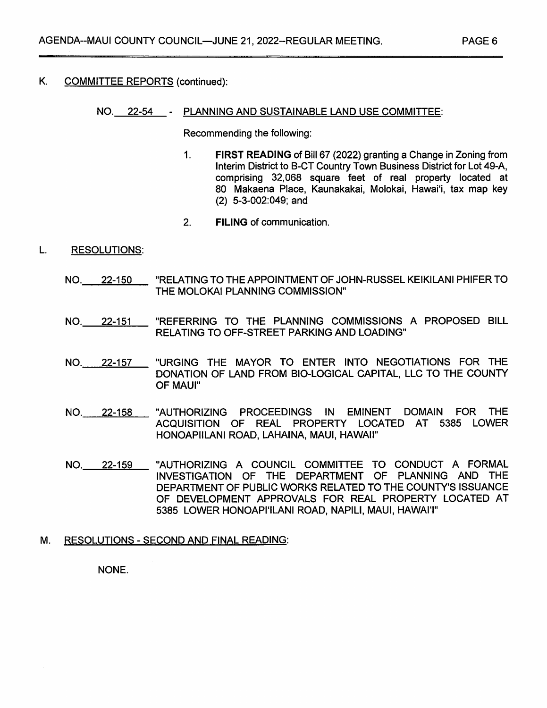# K. COMMITTEE REPORTS (continued);

#### NO. 22-54 PLANNING AND SUSTAINABLE LAND USE COMMITTEE:

Recommending the following:

- 1. FIRST READING of Bill 67 (2022) granting a Change in Zoning from Interim District to B-CT Country Town Business District for Lot 49-A, comprising 32,068 square feet of real property located at 80 Makaena Place, Kaunakakai, Molokai, Hawaii, tax map key (2) 5-3-002:049; and
- 2. FILING of communication.

#### L. RESOLUTIONS:

- "RELATING TO THE APPOINTMENT OF JOHN-RUSSEL KEIKILANI PHIFER TO THE MOLOKAI PLANNING COMMISSION" NO. 22-150
- "REFERRING TO THE PLANNING COMMISSIONS A PROPOSED BILL RELATING TO OFF-STREET PARKING AND LOADING" NO. 22-151
- "URGING THE MAYOR TO ENTER INTO NEGOTIATIONS FOR THE DONATION OF LAND FROM BIO-LOGICAL CAPITAL. LLC TO THE COUNTY OF MAUI" NO. 22-157
- "AUTHORIZING PROCEEDINGS IN EMINENT DOMAIN FOR THE ACQUISITION OF REAL PROPERTY LOCATED AT 5385 LOWER HONOAPIILANI ROAD, LAHAINA, MAUI, HAWAII" NO. 22-158
- "AUTHORIZING A COUNCIL COMMITTEE TO CONDUCT A FORMAL INVESTIGATION OF THE DEPARTMENT OF PLANNING AND THE DEPARTMENT OF PUBLIC WORKS RELATED TO THE COUNTY'S ISSUANCE OF DEVELOPMENT APPROVALS FOR REAL PROPERTY LOCATED AT 5385 LOWER HONOAPI'ILANI ROAD. NAPILI, MAUI, HAWAIT' NO. 22-159

## M. RESOLUTIONS - SECOND AND FINAL READING:

#### NONE.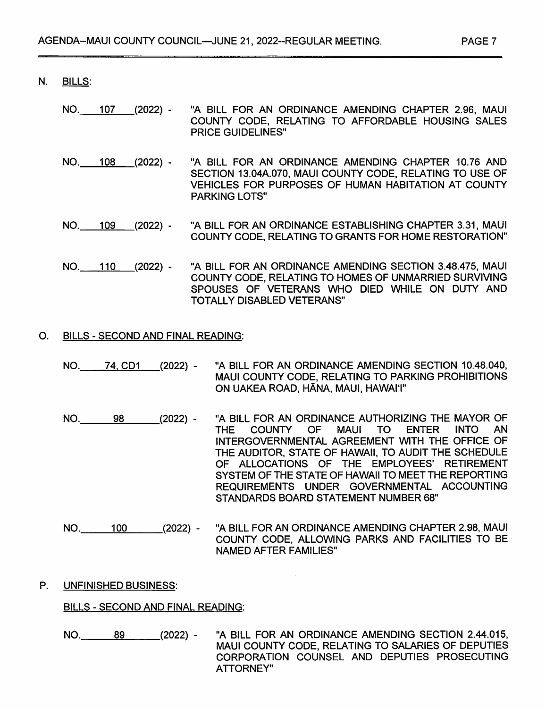- N. BILLS;
	- NO. 107 (2022) "A BILL FOR AN ORDINANCE AMENDING CHAPTER 2.96, MAUI COUNTY CODE, RELATING TO AFFORDABLE HOUSING SALES PRICE GUIDELINES"
	- NO. 108 (2022) "A BILL FOR AN ORDINANCE AMENDING CHAPTER 10.76 AND SECTION 13.04A.070, MAUI COUNTY CODE, RELATING TO USE OF VEHICLES FOR PURPOSES OF HUMAN HABITATION AT COUNTY PARKING LOTS"
	- "A BILL FOR AN ORDINANCE ESTABLISHING CHAPTER 3.31, MAUI COUNTY CODE. RELATING TO GRANTS FOR HOME RESTORATION" NO. 109 (2022) -
	- "A BILL FOR AN ORDINANCE AMENDING SECTION 3.48.475, MAUI COUNTY CODE, RELATING TO HOMES OF UNMARRIED SURVIVING SPOUSES OF VETERANS WHO DIED WHILE ON DUTY AND TOTALLY DISABLED VETERANS" NO. 110 (2022) -

#### O. BILLS - SECOND AND FINAL READING:

- "A BILL FOR AN ORDINANCE AMENDING SECTION 10.48.040. MAUI COUNTY CODE, RELATING TO PARKING PROHIBITIONS ON UAKEA ROAD, HANA, MAUI, HAWAII" NO. 74, CD1 (2022) -
- "A BILL FOR AN ORDINANCE AUTHORIZING THE MAYOR OF<br>THE COUNTY OF MAUI TO ENTER INTO AN MAUI TO ENTER INTERGOVERNMENTAL AGREEMENT WITH THE OFFICE OF THE AUDITOR, STATE OF HAWAII. TO AUDIT THE SCHEDULE OF ALLOCATIONS OF THE EMPLOYEES' RETIREMENT SYSTEM OF THE STATE OF HAWAII TO MEET THE REPORTING REQUIREMENTS UNDER GOVERNMENTAL ACCOUNTING STANDARDS BOARD STATEMENT NUMBER 68" NO. 98 (2022) -
- "A BILL FOR AN ORDINANCE AMENDING CHAPTER 2.98, MAUI COUNTY CODE, ALLOWING PARKS AND FACILITIES TO BE NAMED AFTER FAMILIES" NO. 100 (2022) -

#### P. UNFINISHED BUSINESS:

#### BILLS - SECOND AND FINAL READING:

"A BILL FOR AN ORDINANCE AMENDING SECTION 2.44.015, MAUI COUNTY CODE, RELATING TO SALARIES OF DEPUTIES CORPORATION COUNSEL AND DEPUTIES PROSECUTING ATTORNEY" NO. 89 (2022) -